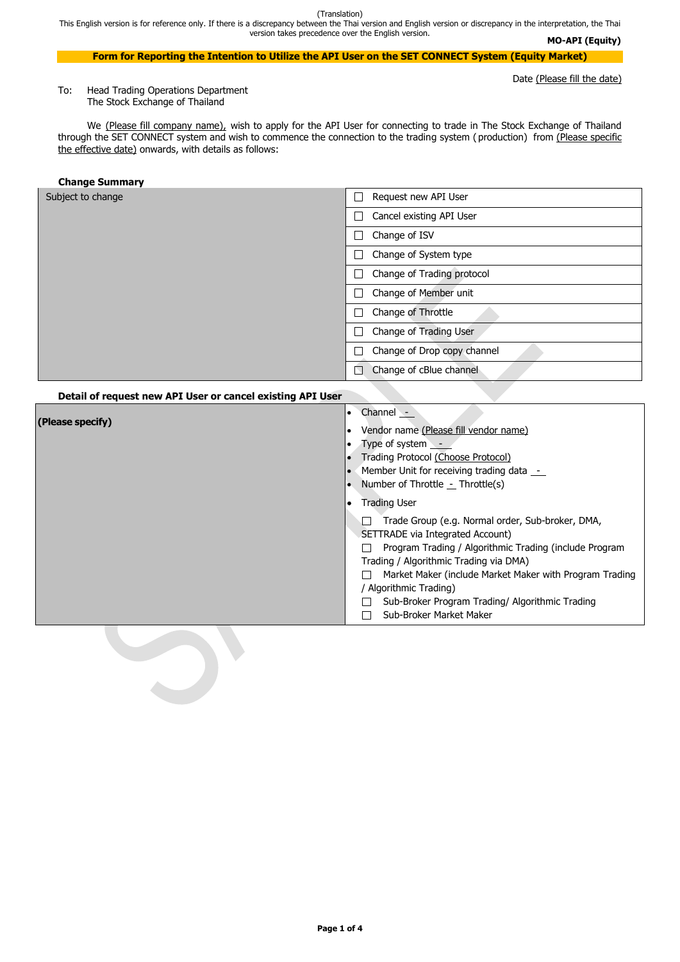This English version is for reference only. If there is a discrepancy between the Thai version and English version or discrepancy in the interpretation, the Thai version takes precedence over the English version.

**Page 1 of 4**

**MO-API (Equity)**

#### **Form for Reporting the Intention to Utilize the API User on the SET CONNECT System (Equity Market)**

Date (Please fill the date)

We (Please fill company name), wish to apply for the API User for connecting to trade in The Stock Exchange of Thailand through the SET CONNECT system and wish to commence the connection to the trading system (production) from (Please specific the effective date) onwards, with details as follows:

To: Head Trading Operations Department The Stock Exchange of Thailand

| Subject to change | Request new API User                    |  |
|-------------------|-----------------------------------------|--|
|                   | Cancel existing API User                |  |
|                   | Change of ISV                           |  |
|                   | Change of System type                   |  |
|                   | Change of Trading protocol              |  |
|                   | Change of Member unit                   |  |
|                   | Change of Throttle                      |  |
|                   | Change of Trading User                  |  |
|                   | Change of Drop copy channel             |  |
|                   | Change of cBlue channel<br>$\mathbb{N}$ |  |

#### **Change Summary**

#### **Detail of request new API User or cancel existing API User**

| (Please specify) | Channel -<br>$\bullet$<br>Vendor name (Please fill vendor name)<br>Type of system -<br>Trading Protocol (Choose Protocol)<br>Member Unit for receiving trading data -<br>Number of Throttle $\text{-}$ Throttle(s) |
|------------------|--------------------------------------------------------------------------------------------------------------------------------------------------------------------------------------------------------------------|
|                  | <b>Trading User</b>                                                                                                                                                                                                |
|                  | Trade Group (e.g. Normal order, Sub-broker, DMA,<br>SETTRADE via Integrated Account)<br>Program Trading / Algorithmic Trading (include Program<br>Trading / Algorithmic Trading via DMA)                           |
|                  | Market Maker (include Market Maker with Program Trading                                                                                                                                                            |
|                  | / Algorithmic Trading)<br>Sub-Broker Program Trading/ Algorithmic Trading<br>Sub-Broker Market Maker                                                                                                               |

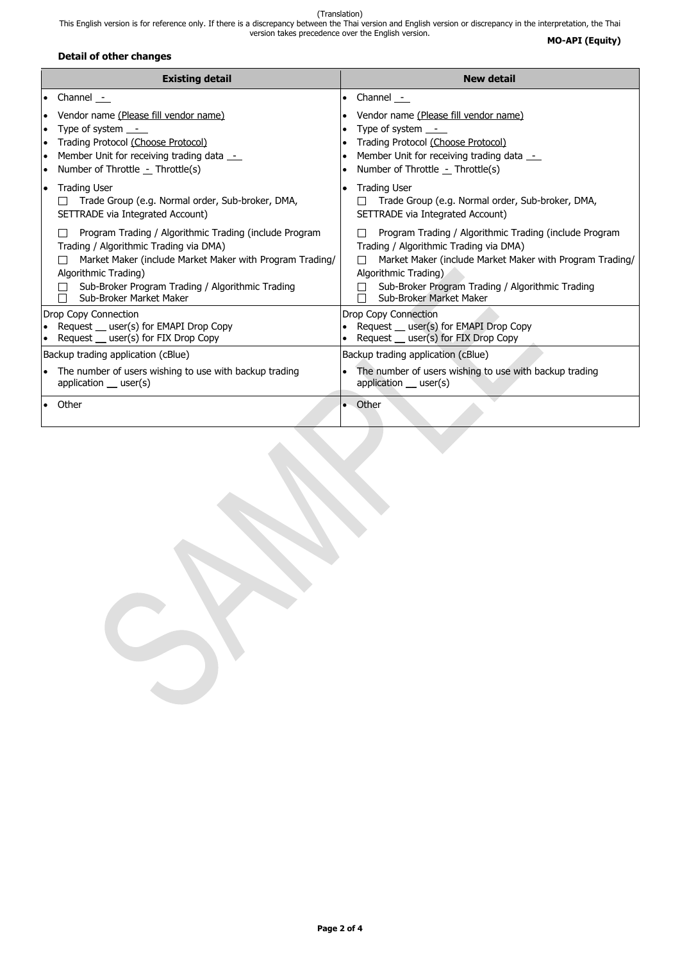This English version is for reference only. If there is a discrepancy between the Thai version and English version or discrepancy in the interpretation, the Thai version takes precedence over the English version.

**Page 2 of 4**

# **MO-API (Equity)**

# **Detail of other changes**

| <b>Existing detail</b>                                                                                                                                                                                                                                              | <b>New detail</b>                                                                                                                                                                                                                                                   |  |  |
|---------------------------------------------------------------------------------------------------------------------------------------------------------------------------------------------------------------------------------------------------------------------|---------------------------------------------------------------------------------------------------------------------------------------------------------------------------------------------------------------------------------------------------------------------|--|--|
| Channel _-<br>$\bullet$                                                                                                                                                                                                                                             | Channel -<br>$\bullet$                                                                                                                                                                                                                                              |  |  |
| Vendor name (Please fill vendor name)<br>Type of system $\_\_$<br>Trading Protocol (Choose Protocol)<br>Member Unit for receiving trading data _-<br>Number of Throttle - Throttle(s)                                                                               | Vendor name (Please fill vendor name)<br>Type of system $\_\_$<br>Trading Protocol (Choose Protocol)<br>Member Unit for receiving trading data _-<br>Number of Throttle - Throttle(s)                                                                               |  |  |
| <b>Trading User</b><br>$\bullet$<br>Trade Group (e.g. Normal order, Sub-broker, DMA,<br>SETTRADE via Integrated Account)                                                                                                                                            | <b>Trading User</b><br>Trade Group (e.g. Normal order, Sub-broker, DMA,<br>SETTRADE via Integrated Account)                                                                                                                                                         |  |  |
| Program Trading / Algorithmic Trading (include Program<br>Trading / Algorithmic Trading via DMA)<br>Market Maker (include Market Maker with Program Trading/<br>Algorithmic Trading)<br>Sub-Broker Program Trading / Algorithmic Trading<br>Sub-Broker Market Maker | Program Trading / Algorithmic Trading (include Program<br>Trading / Algorithmic Trading via DMA)<br>Market Maker (include Market Maker with Program Trading/<br>Algorithmic Trading)<br>Sub-Broker Program Trading / Algorithmic Trading<br>Sub-Broker Market Maker |  |  |
| Drop Copy Connection<br>Request _ user(s) for EMAPI Drop Copy<br>Request _ user(s) for FIX Drop Copy                                                                                                                                                                | <b>Drop Copy Connection</b><br>Request _ user(s) for EMAPI Drop Copy<br>Request _ user(s) for FIX Drop Copy                                                                                                                                                         |  |  |
| Backup trading application (cBlue)                                                                                                                                                                                                                                  | Backup trading application (cBlue)                                                                                                                                                                                                                                  |  |  |
| The number of users wishing to use with backup trading<br>application $_$ user(s)                                                                                                                                                                                   | The number of users wishing to use with backup trading<br>$\bullet$<br>application $_$ user(s)                                                                                                                                                                      |  |  |
| Other                                                                                                                                                                                                                                                               | Other<br>$\bullet$                                                                                                                                                                                                                                                  |  |  |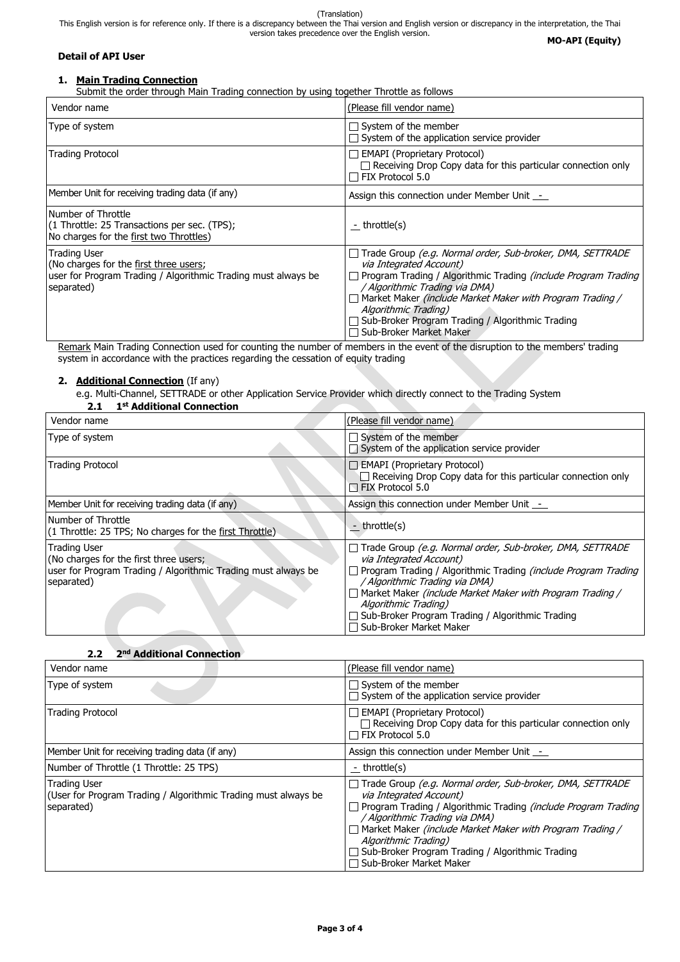(Translation) This English version is for reference only. If there is a discrepancy between the Thai version and English version or discrepancy in the interpretation, the Thai version takes precedence over the English version. **MO-API (Equity)**

#### **Detail of API User**

# **1. Main Trading Connection**

Submit the order through Main Trading connection by using together Throttle as follows

| Vendor name                                                                                                                           | (Please fill vendor name)                                                                                                                                                                                                                                                                                                                                                    |
|---------------------------------------------------------------------------------------------------------------------------------------|------------------------------------------------------------------------------------------------------------------------------------------------------------------------------------------------------------------------------------------------------------------------------------------------------------------------------------------------------------------------------|
| Type of system                                                                                                                        | $\Box$ System of the member<br>$\Box$ System of the application service provider                                                                                                                                                                                                                                                                                             |
| <b>Trading Protocol</b>                                                                                                               | $\Box$ EMAPI (Proprietary Protocol)<br>$\Box$ Receiving Drop Copy data for this particular connection only<br>$\Box$ FIX Protocol 5.0                                                                                                                                                                                                                                        |
| Member Unit for receiving trading data (if any)                                                                                       | Assign this connection under Member Unit _-                                                                                                                                                                                                                                                                                                                                  |
| Number of Throttle<br>(1 Throttle: 25 Transactions per sec. (TPS);<br>No charges for the first two Throttles)                         | <u>-</u> throttle(s)                                                                                                                                                                                                                                                                                                                                                         |
| Trading User<br>(No charges for the first three users;<br>user for Program Trading / Algorithmic Trading must always be<br>separated) | Trade Group (e.g. Normal order, Sub-broker, DMA, SETTRADE<br>via Integrated Account)<br>Program Trading / Algorithmic Trading (include Program Trading<br>/ Algorithmic Trading via DMA)<br>$\Box$ Market Maker (include Market Maker with Program Trading /<br>Algorithmic Trading)<br>$\Box$ Sub-Broker Program Trading / Algorithmic Trading<br>□ Sub-Broker Market Maker |

Remark Main Trading Connection used for counting the number of members in the event of the disruption to the members' trading system in accordance with the practices regarding the cessation of equity trading

### **2. Additional Connection** (If any)

e.g. Multi-Channel, SETTRADE or other Application Service Provider which directly connect to the Trading System

# **2.1 1 st Additional Connection**

| Vendor name                                                                                                                                  | (Please fill vendor name)                                                                                                                                                                                                                                                                                                                                                                        |  |
|----------------------------------------------------------------------------------------------------------------------------------------------|--------------------------------------------------------------------------------------------------------------------------------------------------------------------------------------------------------------------------------------------------------------------------------------------------------------------------------------------------------------------------------------------------|--|
| Type of system                                                                                                                               | $\Box$ System of the member<br>$\Box$ System of the application service provider                                                                                                                                                                                                                                                                                                                 |  |
| <b>Trading Protocol</b>                                                                                                                      | $\Box$ EMAPI (Proprietary Protocol)<br>$\Box$ Receiving Drop Copy data for this particular connection only<br>$\Box$ FIX Protocol 5.0                                                                                                                                                                                                                                                            |  |
| Member Unit for receiving trading data (if any)                                                                                              | Assign this connection under Member Unit _-                                                                                                                                                                                                                                                                                                                                                      |  |
| Number of Throttle<br>(1 Throttle: 25 TPS; No charges for the first Throttle)                                                                | - throttle(s)                                                                                                                                                                                                                                                                                                                                                                                    |  |
| <b>Trading User</b><br>(No charges for the first three users;<br>user for Program Trading / Algorithmic Trading must always be<br>separated) | Trade Group (e.g. Normal order, Sub-broker, DMA, SETTRADE<br>$\mathbf{L}$<br>via Integrated Account)<br>Program Trading / Algorithmic Trading (include Program Trading<br>$\mathbf{L}$<br>/ Algorithmic Trading via DMA)<br>□ Market Maker (include Market Maker with Program Trading /<br>Algorithmic Trading)<br>Sub-Broker Program Trading / Algorithmic Trading<br>□ Sub-Broker Market Maker |  |

## **2.2 2 nd Additional Connection**

| Vendor name                                                                                         | (Please fill vendor name)                                                                                                                                                                                                                                                                                                                                    |  |  |
|-----------------------------------------------------------------------------------------------------|--------------------------------------------------------------------------------------------------------------------------------------------------------------------------------------------------------------------------------------------------------------------------------------------------------------------------------------------------------------|--|--|
| Type of system                                                                                      | $\Box$ System of the member<br>$\Box$ System of the application service provider                                                                                                                                                                                                                                                                             |  |  |
| <b>Trading Protocol</b>                                                                             | $\Box$ EMAPI (Proprietary Protocol)<br>$\Box$ Receiving Drop Copy data for this particular connection only<br>FIX Protocol 5.0                                                                                                                                                                                                                               |  |  |
| Member Unit for receiving trading data (if any)                                                     | Assign this connection under Member Unit -                                                                                                                                                                                                                                                                                                                   |  |  |
| Number of Throttle (1 Throttle: 25 TPS)                                                             | - throttle(s)                                                                                                                                                                                                                                                                                                                                                |  |  |
| <b>Trading User</b><br>(User for Program Trading / Algorithmic Trading must always be<br>separated) | Trade Group (e.g. Normal order, Sub-broker, DMA, SETTRADE<br>via Integrated Account)<br>Program Trading / Algorithmic Trading (include Program Trading<br>/ Algorithmic Trading via DMA)<br>Market Maker (include Market Maker with Program Trading /<br>Algorithmic Trading)<br>Sub-Broker Program Trading / Algorithmic Trading<br>Sub-Broker Market Maker |  |  |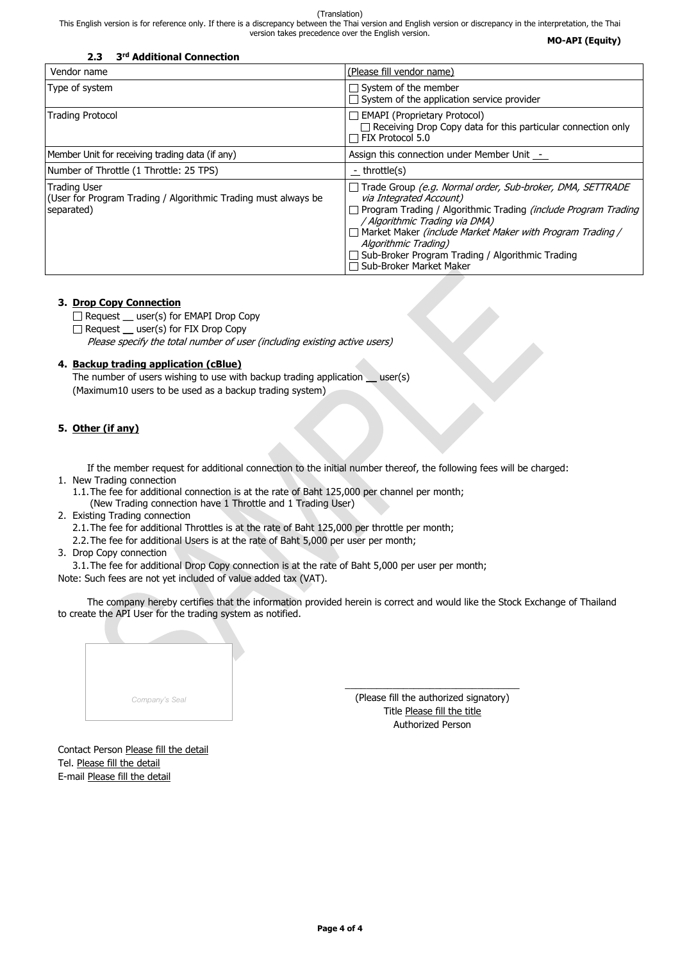This English version is for reference only. If there is a discrepancy between the Thai version and English version or discrepancy in the interpretation, the Thai version takes precedence over the English version.

**MO-API (Equity)**

|  | Company's Seal |  |  |
|--|----------------|--|--|
|  |                |  |  |

 $\Box$  Request  $\Box$  user(s) for EMAPI Drop Copy

Request \_ user(s) for FIX Drop Copy

| 3 <sup>rd</sup> Additional Connection<br>2.3                                                        |                                                                                                                                                                                                                                                                                                                                                                     |
|-----------------------------------------------------------------------------------------------------|---------------------------------------------------------------------------------------------------------------------------------------------------------------------------------------------------------------------------------------------------------------------------------------------------------------------------------------------------------------------|
| Vendor name                                                                                         | (Please fill vendor name)                                                                                                                                                                                                                                                                                                                                           |
| Type of system                                                                                      | $\Box$ System of the member<br>$\Box$ System of the application service provider                                                                                                                                                                                                                                                                                    |
| <b>Trading Protocol</b>                                                                             | <b>EMAPI</b> (Proprietary Protocol)<br>$\Box$ Receiving Drop Copy data for this particular connection only<br>FIX Protocol 5.0                                                                                                                                                                                                                                      |
| Member Unit for receiving trading data (if any)                                                     | Assign this connection under Member Unit _-                                                                                                                                                                                                                                                                                                                         |
| Number of Throttle (1 Throttle: 25 TPS)                                                             | - throttle(s)                                                                                                                                                                                                                                                                                                                                                       |
| <b>Trading User</b><br>(User for Program Trading / Algorithmic Trading must always be<br>separated) | Trade Group (e.g. Normal order, Sub-broker, DMA, SETTRADE<br>via Integrated Account)<br>Program Trading / Algorithmic Trading <i>(include Program Trading</i><br>/ Algorithmic Trading via DMA)<br>Market Maker (include Market Maker with Program Trading /<br>Algorithmic Trading)<br>Sub-Broker Program Trading / Algorithmic Trading<br>Sub-Broker Market Maker |

The number of users wishing to use with backup trading application \_\_ user(s) (Maximum10 users to be used as a backup trading system)

#### **3. Drop Copy Connection**

Please specify the total number of user (including existing active users)

#### **4. Backup trading application (cBlue)**

#### **5. Other (if any)**

If the member request for additional connection to the initial number thereof, the following fees will be charged:

- 1. New Trading connection
	- 1.1.The fee for additional connection is at the rate of Baht 125,000 per channel per month; (New Trading connection have 1 Throttle and 1 Trading User)
- 2. Existing Trading connection

2.1.The fee for additional Throttles is at the rate of Baht 125,000 per throttle per month;

2.2.The fee for additional Users is at the rate of Baht 5,000 per user per month;

3. Drop Copy connection

3.1.The fee for additional Drop Copy connection is at the rate of Baht 5,000 per user per month; Note: Such fees are not yet included of value added tax (VAT).

The company hereby certifies that the information provided herein is correct and would like the Stock Exchange of Thailand to create the API User for the trading system as notified.

\_\_\_\_\_\_\_\_\_\_\_\_\_\_\_\_\_\_\_\_\_\_\_\_\_\_\_\_\_\_\_\_\_

(Please fill the authorized signatory) Title Please fill the title Authorized Person

# Contact Person Please fill the detail Tel. Please fill the detail E-mail Please fill the detail